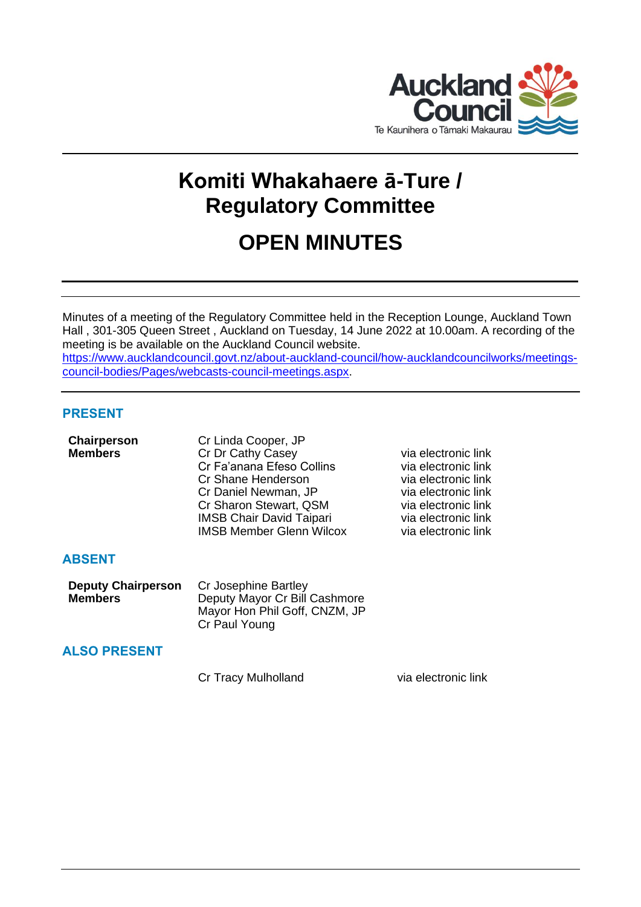

# **Komiti Whakahaere ā-Ture / Regulatory Committee**

# **OPEN MINUTES**

Minutes of a meeting of the Regulatory Committee held in the Reception Lounge, Auckland Town Hall , 301-305 Queen Street , Auckland on Tuesday, 14 June 2022 at 10.00am. A recording of the meeting is be available on the Auckland Council website.

[https://www.aucklandcouncil.govt.nz/about-auckland-council/how-aucklandcouncilworks/meetings](https://www.aucklandcouncil.govt.nz/about-auckland-council/how-aucklandcouncilworks/meetings-council-bodies/Pages/webcasts-council-meetings.aspx)[council-bodies/Pages/webcasts-council-meetings.aspx.](https://www.aucklandcouncil.govt.nz/about-auckland-council/how-aucklandcouncilworks/meetings-council-bodies/Pages/webcasts-council-meetings.aspx)

#### **PRESENT**

| Chairperson    | Cr Linda Cooper, JP             |      |
|----------------|---------------------------------|------|
| <b>Members</b> | Cr Dr Cathy Casey               | via  |
|                | Cr Fa'anana Efeso Collins       | via  |
|                | Cr Shane Henderson              | via⊣ |
|                | Cr Daniel Newman, JP            | via⊣ |
|                | Cr Sharon Stewart, QSM          | via⊣ |
|                | <b>IMSB Chair David Taipari</b> | via⊣ |
|                | <b>IMSB Member Glenn Wilcox</b> | via⊣ |
|                |                                 |      |
|                |                                 |      |

**electronic link** electronic link electronic link electronic link electronic link electronic link electronic link

## **ABSENT**

| <b>Deputy Chairperson</b> | Cr Josephine Bartley          |  |
|---------------------------|-------------------------------|--|
| <b>Members</b>            | Deputy Mayor Cr Bill Cashmore |  |
|                           | Mayor Hon Phil Goff, CNZM, JP |  |
|                           | Cr Paul Young                 |  |

## **ALSO PRESENT**

Cr Tracy Mulholland via electronic link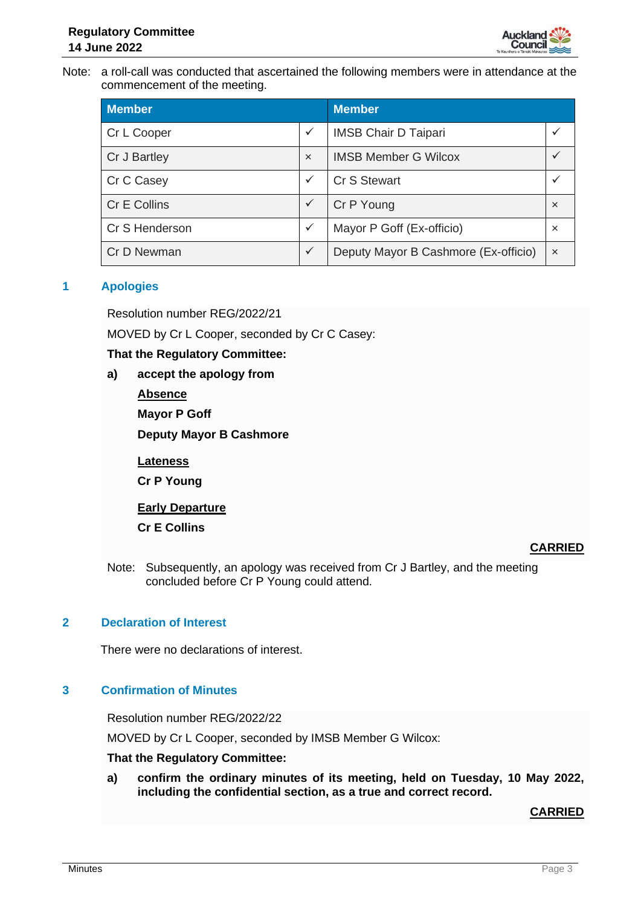Note: a roll-call was conducted that ascertained the following members were in attendance at the commencement of the meeting.

| <b>Member</b>  |                           | <b>Member</b>                        |                           |
|----------------|---------------------------|--------------------------------------|---------------------------|
| Cr L Cooper    | $\checkmark$              | <b>IMSB Chair D Taipari</b>          |                           |
| Cr J Bartley   | $\boldsymbol{\mathsf{x}}$ | <b>IMSB Member G Wilcox</b>          |                           |
| Cr C Casey     | $\checkmark$              | <b>Cr S Stewart</b>                  |                           |
| Cr E Collins   | $\checkmark$              | Cr P Young                           | $\boldsymbol{\mathsf{x}}$ |
| Cr S Henderson | $\checkmark$              | Mayor P Goff (Ex-officio)            | $\boldsymbol{\mathsf{x}}$ |
| Cr D Newman    | $\checkmark$              | Deputy Mayor B Cashmore (Ex-officio) | $\boldsymbol{\mathsf{x}}$ |

#### **1 Apologies**

Resolution number REG/2022/21

MOVED by Cr L Cooper, seconded by Cr C Casey:

#### **That the Regulatory Committee:**

- **a) accept the apology from** 
	- **Absence**

**Mayor P Goff**

**Deputy Mayor B Cashmore** 

**Lateness**

**Cr P Young**

**Early Departure**

**Cr E Collins** 

## **CARRIED**

Note: Subsequently, an apology was received from Cr J Bartley, and the meeting concluded before Cr P Young could attend.

## **2 Declaration of Interest**

There were no declarations of interest.

## **3 Confirmation of Minutes**

Resolution number REG/2022/22

MOVED by Cr L Cooper, seconded by IMSB Member G Wilcox:

#### **That the Regulatory Committee:**

**a) confirm the ordinary minutes of its meeting, held on Tuesday, 10 May 2022, including the confidential section, as a true and correct record.**

**CARRIED**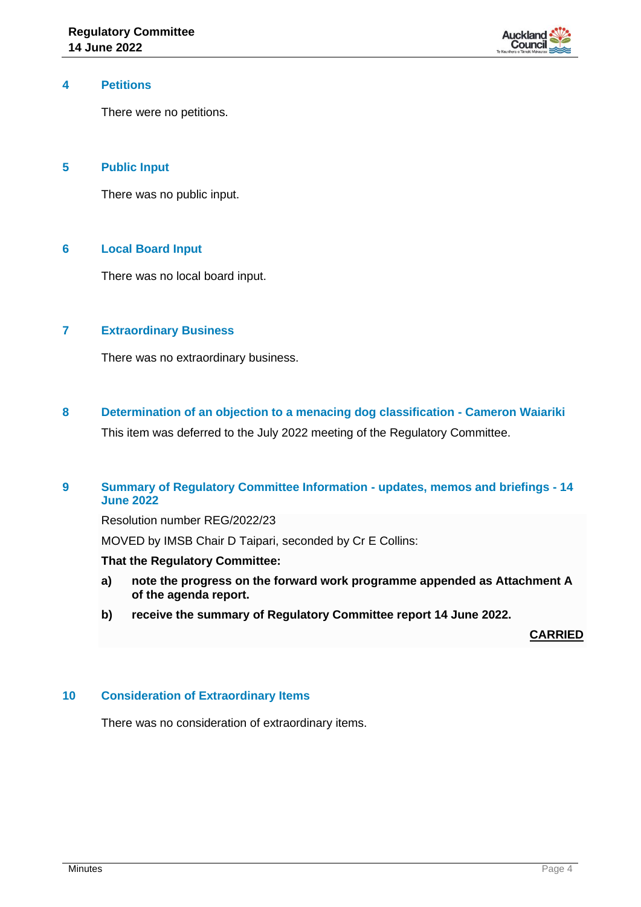

#### **4 Petitions**

There were no petitions.

#### **5 Public Input**

There was no public input.

#### **6 Local Board Input**

There was no local board input.

#### **7 Extraordinary Business**

There was no extraordinary business.

**8 Determination of an objection to a menacing dog classification - Cameron Waiariki** This item was deferred to the July 2022 meeting of the Regulatory Committee.

### **9 Summary of Regulatory Committee Information - updates, memos and briefings - 14 June 2022**

Resolution number REG/2022/23

MOVED by IMSB Chair D Taipari, seconded by Cr E Collins:

#### **That the Regulatory Committee:**

- **a) note the progress on the forward work programme appended as Attachment A of the agenda report.**
- **b) receive the summary of Regulatory Committee report 14 June 2022.**

**CARRIED**

#### **10 Consideration of Extraordinary Items**

There was no consideration of extraordinary items.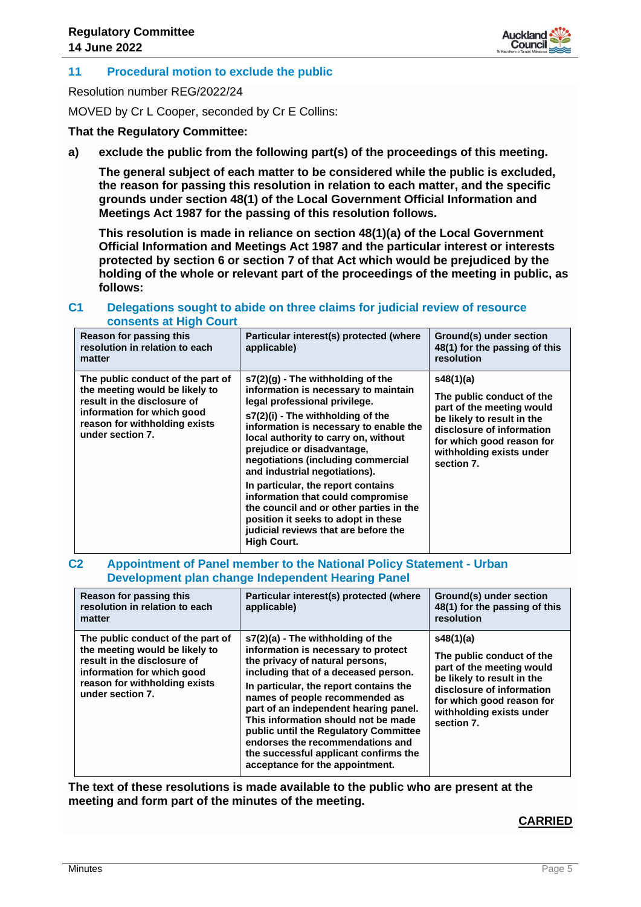

#### **11 Procedural motion to exclude the public**

Resolution number REG/2022/24

MOVED by Cr L Cooper, seconded by Cr E Collins:

**That the Regulatory Committee:**

**a) exclude the public from the following part(s) of the proceedings of this meeting.**

**The general subject of each matter to be considered while the public is excluded, the reason for passing this resolution in relation to each matter, and the specific grounds under section 48(1) of the Local Government Official Information and Meetings Act 1987 for the passing of this resolution follows.**

**This resolution is made in reliance on section 48(1)(a) of the Local Government Official Information and Meetings Act 1987 and the particular interest or interests protected by section 6 or section 7 of that Act which would be prejudiced by the holding of the whole or relevant part of the proceedings of the meeting in public, as follows:**

#### **C1 Delegations sought to abide on three claims for judicial review of resource consents at High Court**

| Reason for passing this<br>resolution in relation to each<br>matter                                                                                                                   | Particular interest(s) protected (where<br>applicable)                                                                                                                                                                                                                                                                                                                                                                                                                                                                                                              | Ground(s) under section<br>48(1) for the passing of this<br>resolution                                                                                                                                |
|---------------------------------------------------------------------------------------------------------------------------------------------------------------------------------------|---------------------------------------------------------------------------------------------------------------------------------------------------------------------------------------------------------------------------------------------------------------------------------------------------------------------------------------------------------------------------------------------------------------------------------------------------------------------------------------------------------------------------------------------------------------------|-------------------------------------------------------------------------------------------------------------------------------------------------------------------------------------------------------|
| The public conduct of the part of<br>the meeting would be likely to<br>result in the disclosure of<br>information for which good<br>reason for withholding exists<br>under section 7. | $s7(2)(q)$ - The withholding of the<br>information is necessary to maintain<br>legal professional privilege.<br>s7(2)(i) - The withholding of the<br>information is necessary to enable the<br>local authority to carry on, without<br>prejudice or disadvantage,<br>negotiations (including commercial<br>and industrial negotiations).<br>In particular, the report contains<br>information that could compromise<br>the council and or other parties in the<br>position it seeks to adopt in these<br>judicial reviews that are before the<br><b>High Court.</b> | s48(1)(a)<br>The public conduct of the<br>part of the meeting would<br>be likely to result in the<br>disclosure of information<br>for which good reason for<br>withholding exists under<br>section 7. |

#### **C2 Appointment of Panel member to the National Policy Statement - Urban Development plan change Independent Hearing Panel**

| Reason for passing this<br>resolution in relation to each<br>matter                                                                                                                   | Particular interest(s) protected (where<br>applicable)                                                                                                                                                                                                                                                                                                                                                                                                                     | Ground(s) under section<br>48(1) for the passing of this<br>resolution                                                                                                                                |
|---------------------------------------------------------------------------------------------------------------------------------------------------------------------------------------|----------------------------------------------------------------------------------------------------------------------------------------------------------------------------------------------------------------------------------------------------------------------------------------------------------------------------------------------------------------------------------------------------------------------------------------------------------------------------|-------------------------------------------------------------------------------------------------------------------------------------------------------------------------------------------------------|
| The public conduct of the part of<br>the meeting would be likely to<br>result in the disclosure of<br>information for which good<br>reason for withholding exists<br>under section 7. | $s7(2)(a)$ - The withholding of the<br>information is necessary to protect<br>the privacy of natural persons,<br>including that of a deceased person.<br>In particular, the report contains the<br>names of people recommended as<br>part of an independent hearing panel.<br>This information should not be made<br>public until the Regulatory Committee<br>endorses the recommendations and<br>the successful applicant confirms the<br>acceptance for the appointment. | s48(1)(a)<br>The public conduct of the<br>part of the meeting would<br>be likely to result in the<br>disclosure of information<br>for which good reason for<br>withholding exists under<br>section 7. |

**The text of these resolutions is made available to the public who are present at the meeting and form part of the minutes of the meeting.**

#### **CARRIED**